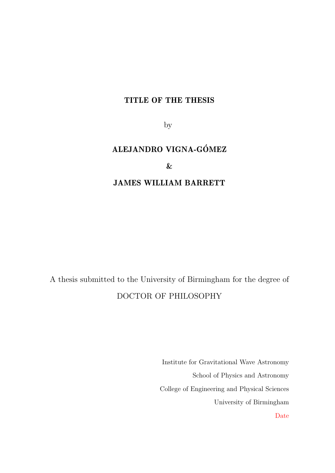#### TITLE OF THE THESIS

by

### ALEJANDRO VIGNA-GÓMEZ

#### &

#### JAMES WILLIAM BARRETT

A thesis submitted to the University of Birmingham for the degree of DOCTOR OF PHILOSOPHY

> Institute for Gravitational Wave Astronomy School of Physics and Astronomy College of Engineering and Physical Sciences University of Birmingham Date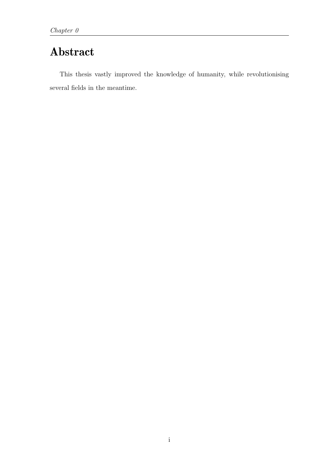### Abstract

This thesis vastly improved the knowledge of humanity, while revolutionising several fields in the meantime.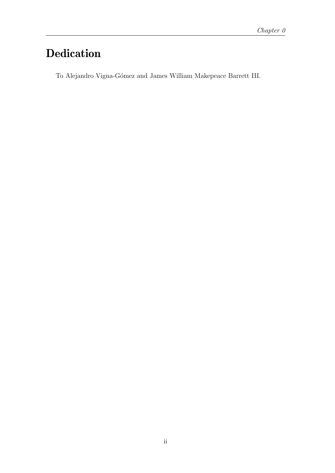### Dedication

To Alejandro Vigna-Gómez and James William Makepeace Barrett III.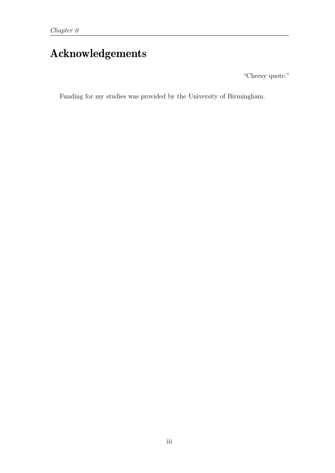### Acknowledgements

"Cheesy quote."

Funding for my studies was provided by the University of Birmingham.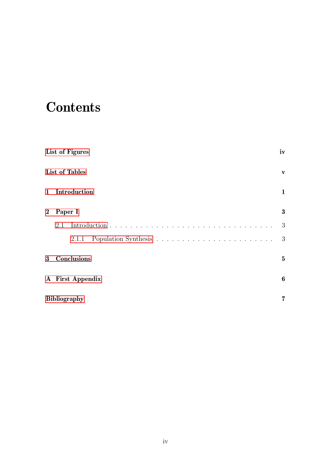# <span id="page-4-0"></span>**Contents**

|                  | List of Figures       | iv              |
|------------------|-----------------------|-----------------|
|                  | <b>List of Tables</b> | V               |
| $\mathbf{1}$     | Introduction          | $\mathbf{1}$    |
| $\boldsymbol{2}$ | Paper I               | $\bf{3}$        |
|                  | 2.1                   | 3               |
|                  | 2.1.1                 | 3               |
| 3 <sup>1</sup>   | Conclusions           | $5\phantom{.0}$ |
|                  | A First Appendix      | 6               |
|                  | <b>Bibliography</b>   | 7               |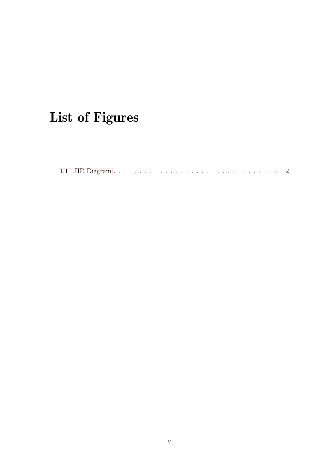# <span id="page-5-0"></span>List of Figures

|--|--|--|--|--|--|--|--|--|--|--|--|--|--|--|--|--|--|--|--|--|--|--|--|--|--|--|--|--|--|--|--|--|--|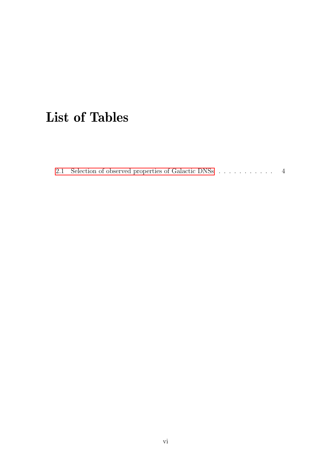## List of Tables

[2.1 Selection of observed properties of Galactic DNSs](#page-10-0)  $\ldots$  . . . . . . . . 4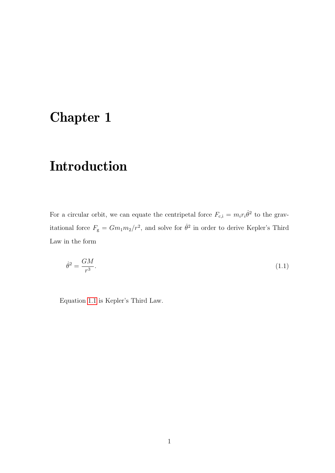### <span id="page-7-0"></span>Chapter 1

## Introduction

For a circular orbit, we can equate the centripetal force  $F_{c,i} = m_i r_i \dot{\theta}^2$  to the gravitational force  $F_{\rm g} = Gm_1m_2/r^2$ , and solve for  $\dot{\theta}^2$  in order to derive Kepler's Third Law in the form

<span id="page-7-1"></span>
$$
\dot{\theta}^2 = \frac{GM}{r^3}.\tag{1.1}
$$

Equation [1.1](#page-7-1) is Kepler's Third Law.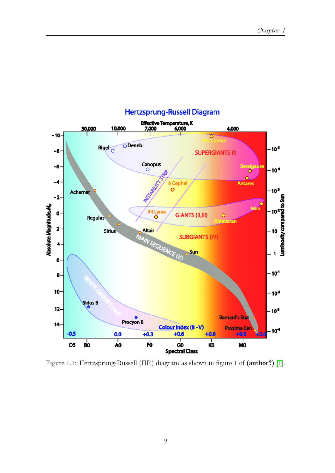<span id="page-8-0"></span>

#### **Hertzsprung-Russell Diagram**

Figure 1.1: Hertzsprung-Russell (HR) diagram as shown in figure 1 of (author?) [\[1\]](#page-13-0).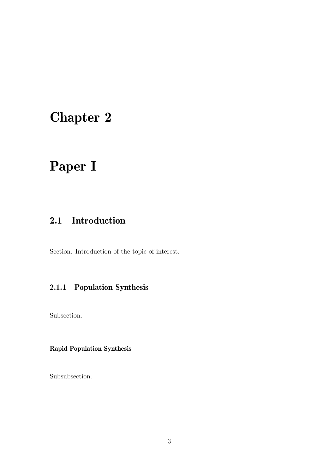## <span id="page-9-0"></span>Chapter 2

## Paper I

### <span id="page-9-1"></span>2.1 Introduction

<span id="page-9-2"></span>Section. Introduction of the topic of interest.

### 2.1.1 Population Synthesis

Subsection.

#### Rapid Population Synthesis

Subsubsection.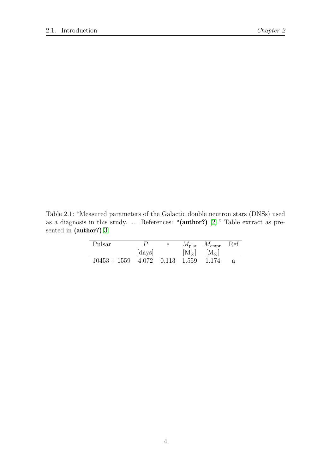<span id="page-10-0"></span>Table 2.1: "Measured parameters of the Galactic double neutron stars (DNSs) used as a diagnosis in this study. ... References:  $\alpha$  (author?) [\[2\]](#page-13-1)." Table extract as presented in (author?) [3](#page-13-2)

| Pulsar         |                   | $M_{\rm plsr}$ | $M_{\rm{cmpn}}$ | Ref |
|----------------|-------------------|----------------|-----------------|-----|
|                | [days]            | $[M_{\odot}]$  | $[M_{\odot}]$   |     |
| $J0453 + 1559$ | 4.072 0.113 1.559 |                | 1.174           | a.  |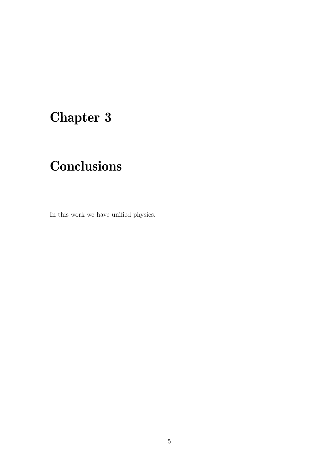# <span id="page-11-0"></span>Chapter 3

# **Conclusions**

In this work we have unified physics.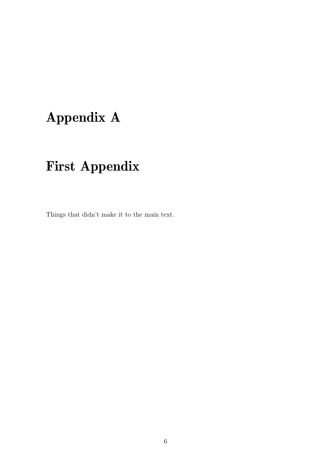# <span id="page-12-0"></span>Appendix A

# First Appendix

Things that didn't make it to the main text.